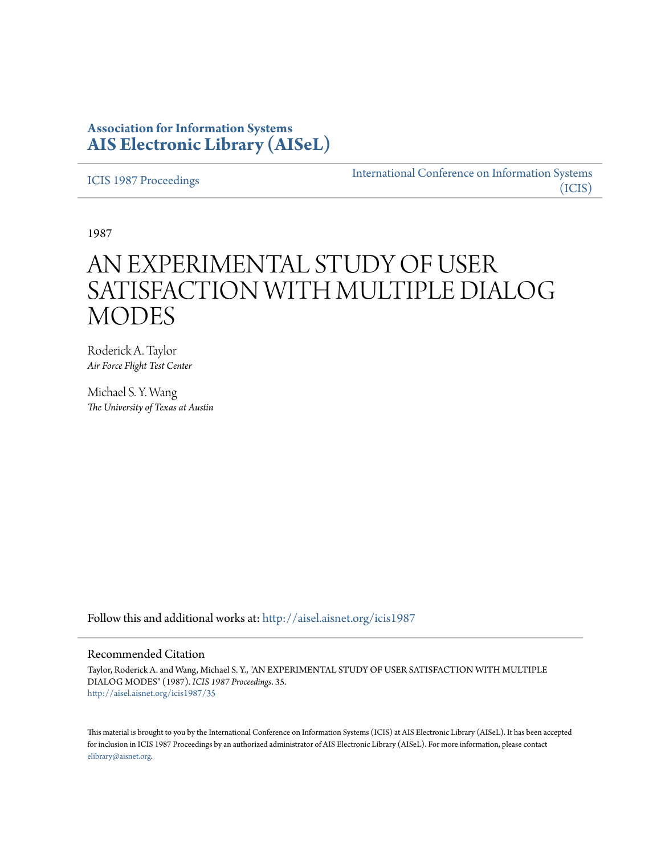## **Association for Information Systems [AIS Electronic Library \(AISeL\)](http://aisel.aisnet.org?utm_source=aisel.aisnet.org%2Ficis1987%2F35&utm_medium=PDF&utm_campaign=PDFCoverPages)**

[ICIS 1987 Proceedings](http://aisel.aisnet.org/icis1987?utm_source=aisel.aisnet.org%2Ficis1987%2F35&utm_medium=PDF&utm_campaign=PDFCoverPages)

[International Conference on Information Systems](http://aisel.aisnet.org/icis?utm_source=aisel.aisnet.org%2Ficis1987%2F35&utm_medium=PDF&utm_campaign=PDFCoverPages) [\(ICIS\)](http://aisel.aisnet.org/icis?utm_source=aisel.aisnet.org%2Ficis1987%2F35&utm_medium=PDF&utm_campaign=PDFCoverPages)

1987

# AN EXPERIMENTAL STUDY OF USER SATISFACTION WITH MULTIPLE DIALOG **MODES**

Roderick A. Taylor *Air Force Flight Test Center*

Michael S. Y. Wang *The University of Texas at Austin*

Follow this and additional works at: [http://aisel.aisnet.org/icis1987](http://aisel.aisnet.org/icis1987?utm_source=aisel.aisnet.org%2Ficis1987%2F35&utm_medium=PDF&utm_campaign=PDFCoverPages)

### Recommended Citation

Taylor, Roderick A. and Wang, Michael S. Y., "AN EXPERIMENTAL STUDY OF USER SATISFACTION WITH MULTIPLE DIALOG MODES" (1987). *ICIS 1987 Proceedings*. 35. [http://aisel.aisnet.org/icis1987/35](http://aisel.aisnet.org/icis1987/35?utm_source=aisel.aisnet.org%2Ficis1987%2F35&utm_medium=PDF&utm_campaign=PDFCoverPages)

This material is brought to you by the International Conference on Information Systems (ICIS) at AIS Electronic Library (AISeL). It has been accepted for inclusion in ICIS 1987 Proceedings by an authorized administrator of AIS Electronic Library (AISeL). For more information, please contact [elibrary@aisnet.org.](mailto:elibrary@aisnet.org%3E)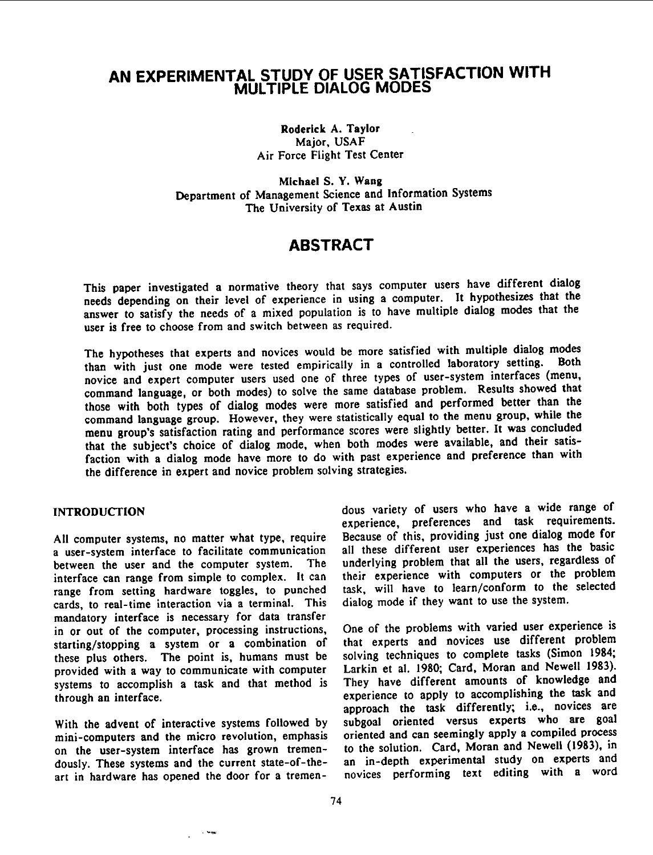# AN EXPERIMENTAL STUDY OF USER SATISFACTION WITH MULTIPLE DIALOG MODES

Roderick A. Taylor Major, USAF Air Force Flight Test Center

Michael S. Y. Wang Department of Management Science and Information Systems The University of Texas at Austin

# ABSTRACT

This paper investigated <sup>a</sup> normative theory that says computer users have different dialog needs depending on their level of experience in using <sup>a</sup> computer. It hypothesizes that the answer to satisfy the needs of <sup>a</sup> mixed population is to have multiple dialog modes that the user is free to choose from and switch between as required.

The hypotheses that experts and novices would be more satisfied with multiple dialog modes<br>than with just and mode ware tested empirically in a controlled laboratory setting. Both than with just one mode were tested empirically in a controlled laboratory setting. novice and expert computer users used one of three types of user-system interfaces (menu, command language, or both modes) to solve the same database problem. Results showed that those with both types of dialog modes were more satisfied and performed better than the command language group. However, they were statistically equal to the menu group, while the menu group's satisfaction rating and performance scores were slightly better. It was concluded that the subject's choice of dialog mode, when both modes were available, and their satisfaction with <sup>a</sup> dialog mode have more to do with past experience and preference than with the difference in expert and novice problem solving strategies.

All computer systems, no matter what type, require a user-system interface to facilitate communication a user-system interface to facilitate communication all these different user experiences has the basic<br>between the user and the computer system. The underlying problem that all the users, regardless of between the user and the computer system. The underlying problem that all the users, regardless of interface can range from simple to complex. It can their experience with computers or the problem interface can range from simple to complex. It can their experience with computers or the problem<br>range from setting hardware toggles, to punched task, will have to learn/conform to the selected cards, to real-time interaction via a terminal. This mandatory interface is necessary for data transfer<br>in or out of the computer, processing instructions, starting/stopping a system or a combination of that experts and novices use different problem<br>these plus others. The point is, humans must be solving techniques to complete tasks (Simon 1984; these plus others. The point is, humans must be provided with a way to communicate with computer provided with a way to communicate with computer Larkin et al. 1980; Card, Moran and Newell 1983).<br>systems to accomplish a task and that method is They have different amounts of knowledge and systems to accomplish a task and that method is They have different amounts of knowledge and through an interface.

mini-computers and the micro revolution, emphasis on the user-system interface has grown tremenon the user-system interface has grown tremen-<br>dously. These systems and the current state-of-the- an in-depth experimental study on experts and dously. These systems and the current state-of-the- an in-depth experimental study on experts and art in hardware has opened the door for a tremen- novices performing text editing with a word

INTRODUCTION dous variety of users who have <sup>a</sup> wide range of experience, preferences and task requirements.<br>Because of this, providing just one dialog mode for task, will have to learn/conform to the selected dialog mode if they want to use the system.

One of the problems with varied user experience is experience to apply to accomplishing the task and approach the task differently; i.e., novices are subgoal oriented versus experts who are goal With the advent of interactive systems followed by subgoal oriented versus experts who are goal mini-computers and the micro revolution, emphasis oriented and can seemingly apply a compiled process novices performing text editing with a word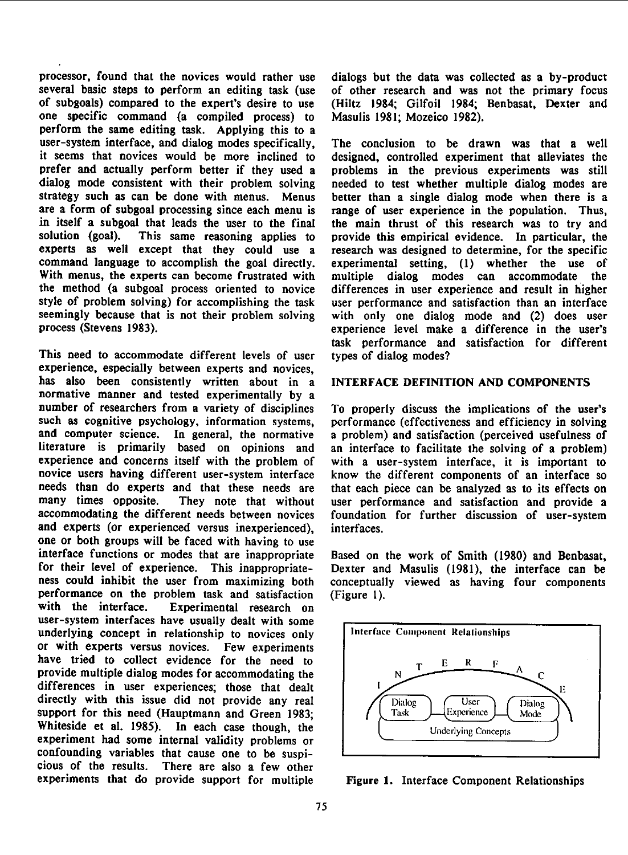processor, found that the novices would rather use dialogs but the data was collected as a by-product several basic steps to perform an editing task (use of other research and was not the primary focus several basic steps to perform an editing task (use of subgoals) compared to the expert's desire to use (Hiltz 1984; Gilfoil 1984; Benbasat, Dexter and one specific command (a compiled process) to Masulis 1981; Mozeico 1982). perform the same editing task. Applying this to a user-system interface, and dialog modes specifically, The conclusion to be drawn was that <sup>a</sup> well prefer and actually perform better if they used <sup>a</sup> problems in the previous experiments was still dialog mode consistent with their problem solving needed to test whether multiple dialog modes are strategy such as can be done with menus. Menus better than a single dialog mode when there is a strategy such as can be done with menus. Menus better than a single dialog mode when there is a<br>are a form of subgoal processing since each menu is range of user experience in the population. Thus, in itself a subgoal that leads the user to the final the main thrust of this research was to try and solution (goal). This same reasoning applies to provide this empirical evidence. In particular, the experts as well except that they could use a research was designed to determine, for the specific command language to accomplish the goal directly. experimental setting, (1) whether the use of With menus, the experts can become frustrated with multiple dialog modes can accommodate the the method (a subgoal process oriented to novice differences in user experience and result in higher style of problem solving) for accomplishing the task user performance and satisfaction than an interface seemingly because that is not their problem solving with only one dialog mode and (2) does user seemingly because that is not their problem solving with only one dialog mode and (2) does user<br>process (Stevens 1983).

This need to accommodate different levels of user types of dialog modes? experience, especially between experts and novices, has also been consistently written about in <sup>a</sup> INTERFACE DEFINITION AND COMPONENTS normative manner and tested experimentally by a number of researchers from <sup>a</sup> variety of disciplines To properly discuss the implications of the user's such as cognitive psychology, information systems, performance (effectiveness and efficiency in solving and computer science. In general, the normative a problem) and satisfaction (perceived usefulness of and computer science. In general, the normative a problem) and satisfaction (perceived usefulness of literature is primarily based on opinions and an interface to facilitate the solving of a problem) experience and concerns itself with the problem of with a user-system interface, it is important to novice users having different user-system interface know the different components of an interface so needs than do experts and that these needs are that each piece can be analyzed as to its effects on many times opposite. They note that without user performance and satisfaction and provide a accommodating the different needs between novices foundation for further discussion of user-system<br>and experts (or experienced versus inexperienced), interfaces. and experts (or experienced versus inexperienced), one or both groups will be faced with having to use interface functions or modes that are inappropriate Based on the work of Smith (1980) and Benbasat, for their level of experience. This inappropriate- Dexter and Masulis (1981), the interface can be ness could inhibit the user from maximizing both conceptually viewed as having four components performance on the problem task and satisfaction (Figure 1).<br>with the interface. Experimental research on Experimental research on user-system interfaces have usually dealt with some underlying concept in relationship to novices only | Interface Component Relationships or with experts versus novices. Few experiments have tried to collect evidence for the need to  $T = \frac{E - R}{N} + \frac{F}{C}$ differences in user experiences; those that dealt  $1/\sqrt{11}$ directly with this issue did not provide any real  $\bigcap_{\text{Task}}$   $\bigcap_{\text{Task}}$   $\bigcap_{\text{User}}$  User support for this need (Hauptmann and Green 1983;  $\overline{ }$   $/$   $\overline{ }$  Task  $\overline{ }$  L<sup>Experience</sup>  $\overline{ }$  Mode Whiteside et al. 1985). In each case though, the Underlying Concepts Whiteside et al. 1985). In each case though, the experiment had some internal validity problems or confounding variables that cause one to be suspi-<br>cious of the results. There are also a few other There are also a few other experiments that do provide support for multiple Figure 1. Interface Component Relationships

designed, controlled experiment that alleviates the range of user experience in the population. Thus, experimental setting, (1) whether the use of experience level make a difference in the user's task performance and satisfaction for different

an interface to facilitate the solving of a problem) know the different components of an interface so They note that without user performance and satisfaction and provide a

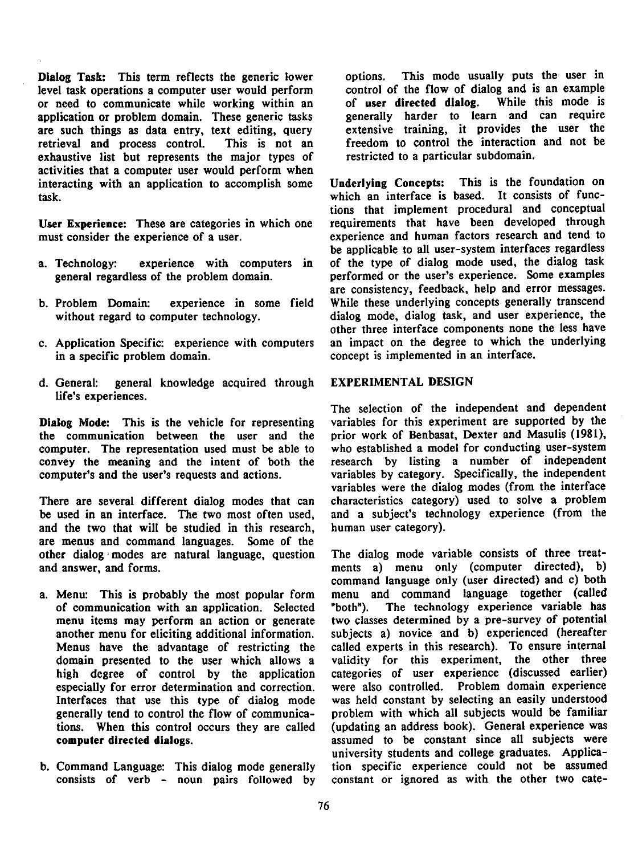Dialog Task: This term reflects the generic lower options. This mode usually puts the user in level task operations a computer user would perform control of the flow of dialog and is an example<br>or need to communicate while working within an cof user directed dialog. While this mode is or need to communicate while working within an of user directed dialog. While this mode is application or problem domain. These generic tasks eenerally harder to learn and can require application or problem domain. These generic tasks are such things as data entry, text editing, query retrieval and process control. This is not an freedom to control the interaction and not be<br>exhaustive list but represents the major types of restricted to a particular subdomain. exhaustive list but represents the major types of activities that a computer user would perform when interacting with an application to accomplish some Underlying Concepts: This is the foundation on task. which an interface is based. It consists of func-

User Experience: These are categories in which one must consider the experience of a user. experience and human factors research and tend to

- 
- 
- in a specific problem domain. concept is implemented in an interface.
- d. General: general knowledge acquired through EXPERIMENTAL DESIGN life's experiences.

the communication between the user and the prior work of Benbasat, Dexter and Masulis (1981), computer. The representation used must be able to who established a model for conducting user-system computer. The representation used must be able to convey the meaning and the intent of both the computer's and the user's requests and actions. variables by category. Specifically, the independent

be used in an interface. The two most often used, and <sup>a</sup> subject's technology experience (from the and the two that will be studied in this research, human user category). are menus and command languages. Some of the other dialog modes are natural language, question The dialog mode variable consists of three treatand answer, and forms. The ments all menu only (computer directed), b)

- another menu for eliciting additional information. especially for error determination and correction.
- b. Command Language: This dialog mode generally

extensive training, it provides the user the

tions that implement procedural and conceptual<br>requirements that have been developed through be applicable to all user-system interfaces regardless a. Technology: experience with computers in of the type of dialog mode used, the dialog task general regardless of the problem domain. <br> performed or the user's experience. Some examples performed or the user's experience. Some examples are consistency, feedback, help and error messages. b. Problem Domain: experience in some field While these underlying concepts generally transcend without regard to computer technology. dialog mode, dialog task, and user experience, the other three interface components none the less have c. Application Specific: experience with computers an impact on the degree to which the underlying

The selection of the independent and dependent Dialog Mode: This is the vehicle for representing variables for this experiment are supported by the research by listing a number of independent variables were the dialog modes (from the interface There are several different dialog modes that can characteristics category) used to solve a problem

command language only (user directed) and c) both a. Menu: This is probably the most popular form menu and command language together (called of communication with an application. Selected "both"). The technology experience variable has menu items may perform an action or generate two classes determined by a pre-survey of potential another menu for eliciting additional information. subjects a) novice and b) experienced (hereafter Menus have the advantage of restricting the called experts in this research). To ensure internal domain presented to the user which allows a validity for this experiment, the other three high degree of control by the application categories of user experience (discussed earlier) high degree of control by the application categories of user experience (discussed earlier)<br>especially for error determination and correction, were also controlled. Problem domain experience Interfaces that use this type of dialog mode was held constant by selecting an easily understood generally tend to control the flow of communica- problem with which all subjects would be familiar tions. When this control occurs they are called (updating an address book). General experience was computer directed dialogs. assumed to be constant since all subjects were university students and college graduates. Applica-<br>tion specific experience could not be assumed consists of verb - noun pairs followed by constant or ignored as with the other two cate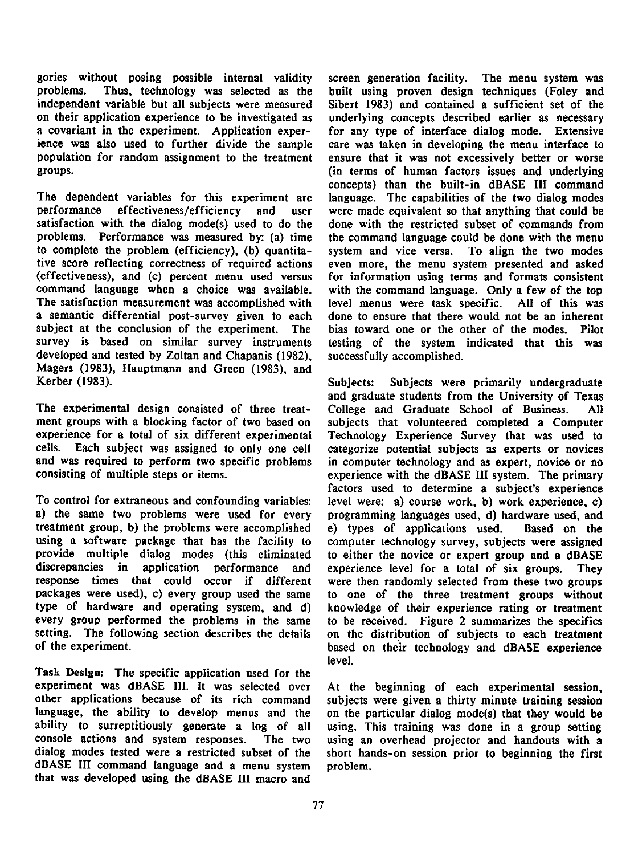gories without posing possible internal validity screen generation facility. The menu system was problems. Thus, technology was selected as the built using proven design techniques (Foley and problems. Thus, technology was selected as the built using proven design techniques (Foley and independent variable but all subjects were measured Sibert 1983) and contained <sup>a</sup> sufficient set of the on their application experience to be investigated as underlying concepts described earlier as necessary a covariant in the experiment. Application exper-<br>ience was also used to further divide the sample care was taken in developing the menu interface to population for random assignment to the treatment ensure that it was not excessively better or worse

The dependent variables for this experiment are language. The capabilities of the two dialog modes performance effectiveness/efficiency and user were made equivalent so that anything that could be satisfaction with the dialog mode(s) used to do the done with the restricted subset of commands from problems. Performance was measured by: (a) time the command language could be done with the menu to complete the problem (efficiency), (b) quantita- system and vice versa. To align the two modes tive score reflecting correctness of required actions even more, the menu system presented and asked (effectiveness), and (c) percent menu used versus for information using terms and formats consistent The satisfaction measurement was accomplished with level menus were task specific. All of this was <sup>a</sup> semantic differential post-survey given to each done to ensure that there would not be an inherent subject at the conclusion of the experiment. The bias toward one or the other of the modes. Pilot survey is based on similar survey instruments testing of the system indicated that this was developed and tested by Zoltan and Chapanis (1982), successfully accomplished. Magers (1983), Hauptmann and Green (1983), and

The experimental design consisted of three treat- College and Graduate School of Business. All ment groups with <sup>a</sup> blocking factor of two based on subjects that volunteered completed <sup>a</sup> Computer experience for a total of six different experimental Technology Experience Survey that was used to cells. Each subject was assigned to only one cell categorize potential subjects as experts or novices and was required to perform two specific problems in computer technology and as expert, novice or no consisting of multiple steps or items.

To control for extraneous and confounding variables: level were: a) course work, b) work experience, c) a) the same two problems were used for every programming languages used, d) hardware used, and treatment group, b) the problems were accomplished e) types of applications used. Based on the using a software package that has the facility to computer technology survey, subjects were assigned<br>provide multiple dialog modes (this eliminated to either the novice or expert group and a dBASE provide multiple dialog modes (this eliminated to either the novice or expert group and a dBASE<br>discrepancies in application performance and experience level for a total of six groups. They response times that could occur if different were then randomly selected from these two groups packages were used), c) every group used the same to one of the three treatment groups without type of hardware and operating system, and d) knowledge of their experience rating or treatment every group performed the problems in the same to be received. Figure 2 summarizes the specifics setting. The following section describes the details on the distribution of subjects to each treatment of the experience based on their technology and dBASE experience

Task Design: The specific application used for the experiment was dBASE III. It was selected over At the beginning of each experimental session, other applications because of its rich command subjects were given a thirty minute training session language, the ability to develop menus and the on the particular dialog mode(s) that they would be ability to surreptitiously generate a log of all using. This training was done in a group setting ability to surreptitiously generate a log of all using. This training was done in a group setting console actions and system responses. The two using an overhead projector and handouts with a dialog modes tested were <sup>a</sup> restricted subset of the short hands-on session prior to beginning the first dBASE III command language and <sup>a</sup> menu system problem. that was developed using the dBASE III macro and

care was taken in developing the menu interface to (in terms of human factors issues and underlying concepts) than the built-in dBASE III command and user were made equivalent so that anything that could be with the command language. Only a few of the top

Kerber (1983). Subjects: Subjects were primarily undergraduate and graduate students from the University of Texas categorize potential subjects as experts or novices experience with the dBASE III system. The primary factors used to determine a subject's experience and experience level for a total of six groups. They based on their technology and dBASE experience level.

> subjects were given a thirty minute training session The two using an overhead projector and handouts with a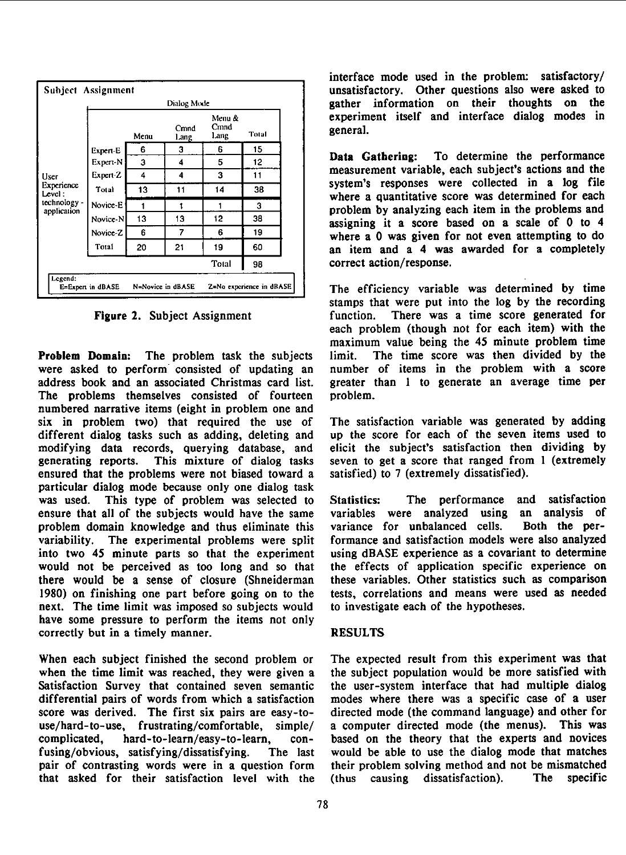

Problem Domain: The problem task the subjects limit. The time score was then divided by the were asked to perform consisted of updating an number of items in the problem with a score address book and an associated Christmas card list. greater than <sup>1</sup> to generate an average time per The problems themselves consisted of fourteen problem. numbered narrative items (eight in problem one and six in problem two) that required the use of The satisfaction variable was generated by adding different dialog tasks such as adding, deleting and up the score for each of the seven items used to different dialog tasks such as adding, deleting and modifying data records, querying database, and elicit the subject's satisfaction then dividing by generating reports. This mixture of dialog tasks seven to get a score that ranged from 1 (extremely ensured that the problems were not biased toward a satisfied) to 7 (extremely dissatisfied). ensured that the problems were not biased toward a particular dialog mode because only one dialog task was used. This type of problem was selected to Statistics: The performance and satisfaction ensure that all of the subjects would have the same variables were analyzed using an analysis of problem domain knowledge and thus eliminate this variance for unbalanced cells. Both the pervariability. The experimental problems were split formance and satisfaction models were also analyzed into two 45 minute parts so that the experiment using dBASE experience as a covariant to determine into two 45 minute parts so that the experiment would not be perceived as too long and so that the effects of application specific experience on there would be a sense of closure (Shneiderman these variables. Other statistics such as comparison 1980) on finishing one part before going on to the tests, correlations and means were used as needed 1980) on finishing one part before going on to the tests, correlations and means were unext. The time limit was imposed so subjects would to investigate each of the hypotheses. next. The time limit was imposed so subjects would have some pressure to perform the items not only correctly but in a timely manner. RESULTS

When each subject finished the second problem or The expected result from this experiment was that when the time limit was reached, they were given a the subject population would be more satisfied with Satisfaction Survey that contained seven semantic the user-system interface that had multiple dialog Satisfaction Survey that contained seven semantic differential pairs of words from which <sup>a</sup> satisfaction modes where there was <sup>a</sup> specific case of <sup>a</sup> user score was derived. The first six pairs are easy-to- directed mode (the command language) and other for use/hard-to-use, frustrating/comfortable, simple/ a computer directed mode (the menus). This was complicated, hard-to-learn/easy-to-learn, con- based on the theory that the experts and novices fusing/obvious, satisfying/dissatisfying. The last would be able to use the dialog mode that matches pair of contrasting words were in a question form their problem solving method and not be mismatched that asked for their satisfaction level with the (thus causing dissatisfaction). The specific

interface mode used in the problem: satisfactory/ Subject Assignment unsatisfactory. Other questions also were asked to Dialog Mode **gather** information on their thoughts on the  $M_{\text{coul}} \&$  experiment itself and interface dialog modes in

 $U_{\text{Ser}}$   $U_{\text{Ser}}$   $U_{\text{Ser}}$   $U_{\text{Ser}}$   $U_{\text{Ser}}$  actions and the system's responses were collected in a log file Level: where <sup>a</sup> quantitative score was determined for each technology - Novice-E <sup>1</sup> <sup>1</sup> <sup>1</sup> <sup>3</sup> application problem by analyzing each item in the problems and Novice-N <sup>13</sup> <sup>13</sup> <sup>12</sup> <sup>38</sup> assigning it <sup>a</sup> score based on <sup>a</sup> scale of <sup>0</sup> to <sup>4</sup> Novice-Z <sup>6</sup> <sup>7</sup> <sup>6</sup> <sup>19</sup> where <sup>a</sup> <sup>0</sup> was given for not even attempting to do Total <sup>20</sup> <sup>21</sup> <sup>19</sup> <sup>60</sup> an item and <sup>a</sup> <sup>4</sup> was awarded for <sup>a</sup> completely Total 98 correct action/response.

 $N=N$ ovice in dBASE  $Z=N$ o experience in dBASE The efficiency variable was determined by time stamps that were put into the log by the recording Figure 2. Subject Assignment function. There was a time score generated for each problem (though not for each item) with the maximum value being the 45 minute problem time

The last would be able to use the dialog mode that matches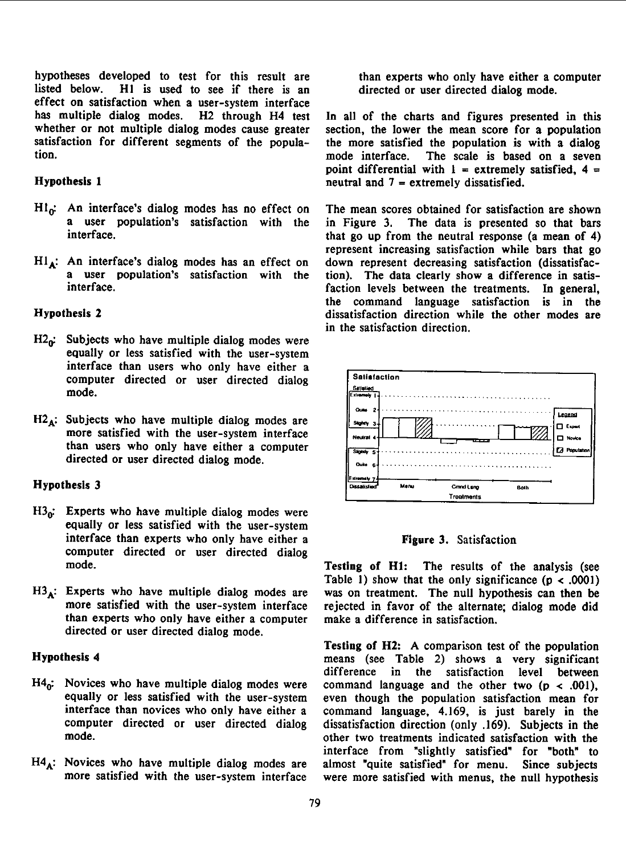hypotheses developed to test for this result are than experts who only have either a computer listed below. H1 is used to see if there is an directed or user directed dialog mode. effect on satisfaction when a user-system interface<br>has multiple dialog modes. H2 through H4 test has multiple dialog modes. H2 through H4 test In all of the charts and figures presented in this whether or not multiple dialog modes cause greater section, the lower the mean score for a population satisfaction for different segments of the popula-<br>the more satisfied the population is with a dialog<br>mode interface. The scale is based on a seven

- $Hl_0$ : An interface's dialog modes has no effect on The mean scores obtained for satisfaction are shown
- $HI_A$ : An interface's dialog modes has an effect on a user population's satisfaction with the

- $H2_0$ . Subjects who have multiple dialog modes were equally or less satisfied with the user-system interface than users who only have either a computer directed or user directed dialog Satisfaction  $\text{mode}$ . Salisfied  $\frac{\text{Salkified}}{\text{Ext}_{\text{parameter}}}$
- directed or user directed dialog mode.

- $H3_{n}$ : Experts who have multiple dialog modes were equally or less satisfied with the user-system interface than experts who only have either a Figure 3. Satisfaction computer directed or user directed dialog
- than experts who only have either <sup>a</sup> computer make <sup>a</sup> difference in satisfaction. directed or user directed dialog mode.

## Hypothesis <sup>4</sup>

- 
- $H_4$ : Novices who have multiple dialog modes are almost "quite satisfied" for menu. Since subjects

directed or user directed dialog mode.

section, the lower the mean score for a population mode interface. The scale is based on a seven point differential with  $1 =$  extremely satisfied,  $4 =$ Hypothesis 1 neutral and  $7$  = extremely dissatisfied.

a user population's satisfaction with the in Figure 3. The data is presented so that bars<br>interface. that go up from the neutral response (a mean of  $4$ ) represent increasing satisfaction while bars that go down represent decreasing satisfaction (dissatisfaca user population's satisfaction with the tion). The data clearly show a difference in satis-<br>interface.<br>In seneral faction levels between the treatments. In general, the command language satisfaction is in the Hypothesis 2 dissatisfaction direction while the other modes are in the satisfaction direction.



mode. Testing of Hl: The results of the analysis (see Table 1) show that the only significance  $(p < .0001)$  $H3_A$ : Experts who have multiple dialog modes are was on treatment. The null hypothesis can then be more satisfied with the user-system interface rejected in favor of the alternate; dialog mode did rejected in favor of the alternate; dialog mode did

Testing of H2: A comparison test of the population means (see Table 2) shows a very significant difference in the satisfaction level between H4<sub>0</sub>: Novices who have multiple dialog modes were command language and the other two (p < .001), equally or less satisfied with the user-system even though the population satisfaction mean for equally or less satisfied with the user-system even though the population satisfaction mean for interface than novices who only have either a command language, 4.169, is just barely in the interface than novices who only have either <sup>a</sup> command language, 4.169, is just barely in the computer directed or user directed dialog dissatisfaction direction (only .169). Subjects in the other two treatments indicated satisfaction with the interface from "slightly satisfied" for "both" to more satisfied with the user-system interface were more satisfied with menus, the null hypothesis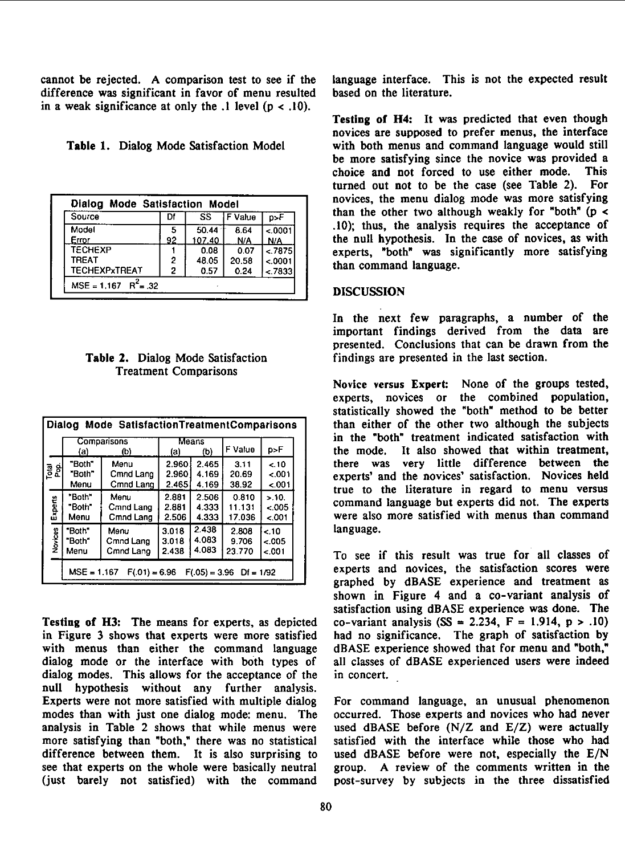cannot be rejected. A comparison test to see if the language interface. This is not the expected result difference was significant in favor of menu resulted based on the literature. difference was significant in favor of menu resulted in a weak significance at only the  $\lambda$  level ( $p < \lambda$ 10).

| Source         | Df | SS.    | F Value | p>F      |
|----------------|----|--------|---------|----------|
| Model          | 5  | 50.44  | 8.64    | 0.0001   |
| Error          | 92 | 107.40 | N/A     | N/A      |
| <b>TECHEXP</b> |    | 0.08   | 0.07    | < 7875   |
| TRFAT          | 2  | 48.05  | 20.58   | < 0001   |
| TECHEXPxTREAT  | 2  | 0.57   | 0.24    | $-.7833$ |

# Treatment Comparisons

| Dialog Mode SatisfactionTreatmentComparisons |                                                               |           |                     |       |         |         |  |  |  |
|----------------------------------------------|---------------------------------------------------------------|-----------|---------------------|-------|---------|---------|--|--|--|
|                                              | Comparisons<br>(b)<br>(a)                                     |           | Means<br>(b)<br>(a) |       | F Value | p>F     |  |  |  |
| <u>를 하</u>                                   | "Both"                                                        | Menu      | 2.960               | 2.465 | 3.11    | $-.10$  |  |  |  |
|                                              | "Both"                                                        | Cmnd Lang | 2.960               | 4.169 | 20.69   | $-.001$ |  |  |  |
|                                              | Menu                                                          | Cmnd Lang | 2.465               | 4.169 | 38.92   | $-001$  |  |  |  |
| Experts                                      | "Both"                                                        | Menu      | 2.881               | 2.506 | 0.810   | > 10.   |  |  |  |
|                                              | "Both"                                                        | Cmnd Lang | 2.881               | 4.333 | 11.131  | $-.005$ |  |  |  |
|                                              | Menu                                                          | Cmnd Lang | 2.506               | 4.333 | 17.036  | $-.001$ |  |  |  |
| Novices                                      | "Both"                                                        | Menu      | 3.018               | 2.438 | 2.808   | < 10    |  |  |  |
|                                              | "Both"                                                        | Cmnd Lang | 3.018               | 4.083 | 9.706   | < 005   |  |  |  |
|                                              | Menu                                                          | Cmnd Lang | 2.438               | 4.083 | 23.770  | < 001   |  |  |  |
|                                              | $MSE = 1.167$<br>$F(.01) = 6.96$<br>$F(.05) = 3.96$ Df = 1/92 |           |                     |       |         |         |  |  |  |

Testing of H3: The means for experts, as depicted in Figure 3 shows that experts were more satisfied with menus than either the command language dBASE experience showed that for menu and "both,"<br>dialog mode or the interface with both types of all classes of dBASE experienced users were indeed dialog mode or the interface with both types of dialog modes. This allows for the acceptance of the in concert. null hypothesis without any further analysis. Experts were not more satisfied with multiple dialog For command language, an unusual phenomenon modes than with just one dialog mode: menu. The occurred. Those experts and novices who had never modes than with just one dialog mode: menu. The analysis in Table 2 shows that while menus were more satisfying than "both," there was no statistical satisfied with the interface while those who had difference between them. It is also surprising to used dBASE before were not, especially the E/N difference between them. It is also surprising to used dBASE before were not, especially the  $E/N$  see that experts on the whole were basically neutral group. A review of the comments written in the (just barely not satisfied) with the command post-survey by subjects in the three dissatisfied

Testing of H4: It was predicted that even though novices are supposed to prefer menus, the interface Table 1. Dialog Mode Satisfaction Model with both menus and command language would still be more satisfying since the novice was provided a choice and not forced to use either mode. This turned out not to be the case (see Table 2). For novices, the menu dialog mode was more satisfying than the other two although weakly for "both" ( $p <$ .10); thus, the analysis requires the acceptance of the null hypothesis. In the case of novices, as with experts, "both" was significantly more satisfying than command language.

### DISCUSSION

In the next few paragraphs, a number of the important findings derived from the data are presented. Conclusions that can be drawn from the Table 2. Dialog Mode Satisfaction findings are presented in the last section.

> Novice versus Expert: None of the groups tested, experts, novices or the combined population, statistically showed the "both" method to be better than either of the other two although the subjects in the "both" treatment indicated satisfaction with the mode. It also showed that within treatment, there was very little difference between the experts' and the novices' satisfaction. Novices held true to the literature in regard to menu versus command language but experts did not. The experts were also more satisfied with menus than command language.

> To see if this result was true for all classes of experts and novices, the satisfaction scores were graphed by dBASE experience and treatment as shown in Figure 4 and <sup>a</sup> co-variant analysis of satisfaction using dBASE experience was done. The co-variant analysis  $(SS = 2.234, F = 1.914, p > .10)$ had no significance. The graph of satisfaction by dBASE experience showed that for menu and "both,"

> used dBASE before  $(N/Z$  and  $E/Z$ ) were actually satisfied with the interface while those who had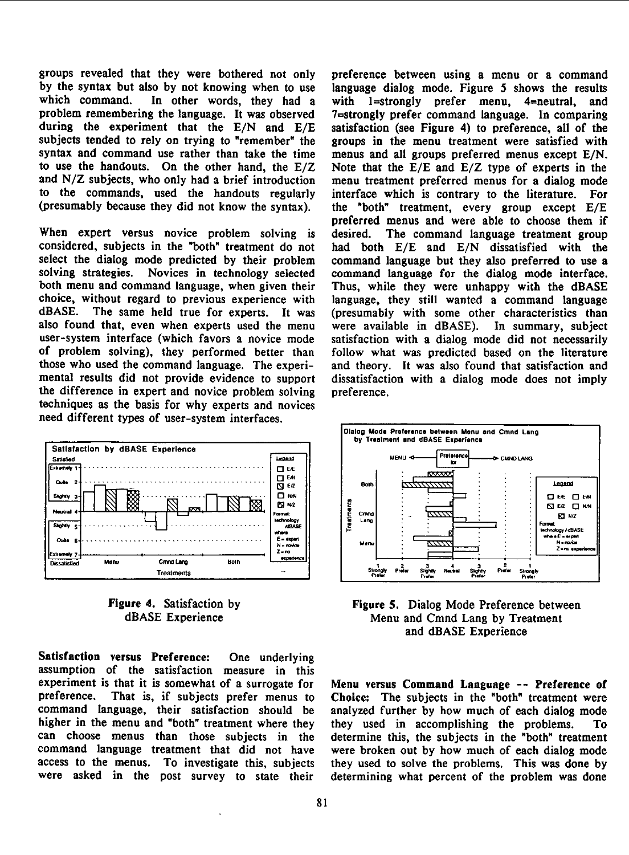groups revealed that they were bothered not only preference between using a menu or a command by the syntax but also by not knowing when to use language dialog mode. Figure <sup>5</sup> shows the results which command. In other words, they had a with  $1$ =strongly prefer menu,  $4$ =neutral, and problem remembering the language. It was observed 7=strongly prefer command language. In comparing during the experiment that the E/N and E/E satisfaction (see Figure 4) to preference, all of the subjects tended to rely on trying to "remember" the groups in the menu treatment were satisfied with syntax and command use rather than take the time menus and all groups preferred menus except E/N. to use the handouts. On the other hand, the E/Z Note that the E/E and E/Z type of experts in the and  $N/Z$  subjects, who only had a brief introduction menu treatment preferred menus for a dialog mode to the commands, used the handouts regularly interface which is contrary to the literature. For to the commands, used the handouts regularly interface which is contrary to the literature. For  ${\rm (presumably~ because~ they~ did~ not~ know~ the~svn tax)}$ . the "both" treatment, every group except  ${\rm E/E}$ 

When expert versus novice problem solving is desired. considered, subjects in the "both" treatment do not had both E/E and E/N dissatisfied with the select the dialog mode predicted by their problem command language but they also preferred to use a solving strategies. Novices in technology selected command language for the dialog mode interface. both menu and command language, when given their Thus, while they were unhappy with the dBASE choice, without regard to previous experience with language, they still wanted a command language dBASE. The same held true for experts. It was (presumably with some other characteristics than also found that, even when experts used the menu were available in dBASE). In summary, subject user-system interface (which favors <sup>a</sup> novice mode satisfaction with a dialog mode did not necessarily of problem solving), they performed better than follow what was predicted based on the literature<br>those who used the command language. The experi-<br>and theory. It was also found that satisfaction and mental results did not provide evidence to support dissatisfaction with a dialog mode does not imply the difference in expert and novice problem solving preference. techniques as the basis for why experts and novices need different types of user-system interfaces.



Satisfaction versus Preference: One underlying assumption of the satisfaction measure in this experiment is that it is somewhat of a surrogate for Menu versus Command Language -- Preference of preference. That is, if subjects prefer menus to Choice: The subjects in the "both" treatment were preference. That is, if subjects prefer menus to Choice: The subjects in the "both" treatment were<br>command language, their satisfaction should be analyzed further by how much of each dialog mode command language, their satisfaction should be analyzed further by how much of each dialog mode higher in the menu and "both" treatment where they they used in accomplishing the problems. To<br>can choose menus than those subjects in the determine this, the subjects in the "both" treatment command language treatment that did not have were broken out by how much of each dialog mode access to the menus. To investigate this, subjects they used to solve the problems. This was done by were asked in the post survey to state their determining what percent of the problem was done

the "both" treatment, every group except  $E/E$ preferred menus and were able to choose them if desired. The command language treatment group (presumably with some other characteristics than and theory. It was also found that satisfaction and



Figure 4. Satisfaction by Figure 5. Dialog Mode Preference between<br>dBASE Experience Menu and Cmnd Lang by Treatment Menu and Cmnd Lang by Treatment and dBASE Experience

determine this, the subjects in the "both" treatment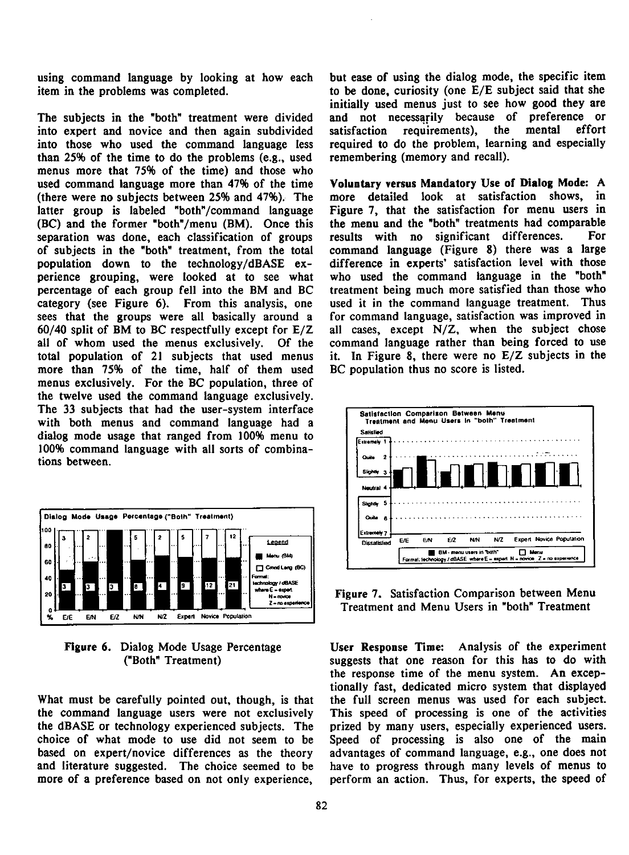item in the problems was completed. to be done, curiosity (one  $E/E$  subject said that she

into expert and novice and then again subdivided satisfaction requirements), the mental effort into those who used the command language less required to do the problem, learning and especially than 25% of the time to do the problems (e.g., used remembering (memory and recall). menus more that 75% of the time) and those who used command language more than 47% of the time Voluntary versus Mandatory Use of Dialog Mode: A (there were no subjects between 25% and 47%). The more detailed look at satisfaction shows, in latter group is labeled "both"/command language Figure 7, that the satisfaction for menu users in (BC) and the former "both"/menu (BM). Once this the menu and the "both" treatments had comparable (BC) and the former "both"/menu (BM). Once this the menu and the "both" treatments had comparable<br>separation was done each classification of groups results with no significant differences. For separation was done, each classification of groups results with no significant differences. of subjects in the "both" treatment, from the total command language (Figure 8) there was <sup>a</sup> large population down to the technology/dBASE ex- difference in experts' satisfaction level with those perience grouping, were looked at to see what who used the command language in the "both" percentage of each group fell into the BM and BC treatment being much more satisfied than those who category (see Figure 6). From this analysis, one used it in the command language treatment. Thus category (see Figure 6). From this analysis, one sees that the groups were all basically around <sup>a</sup> for command language, satisfaction was improved in 60/40 split of BM to BC respectfully except for E/Z all cases, except N/Z, when the subject chose all of whom used the menus exclusively. Of the command language rather than being forced to use total population of 21 subjects that used menus it. In Figure 8, there were no E/Z subjects in the more than 75% of the time, half of them used BC population thus no score is listed. more than 75% of the time, half of them used menus exclusively. For the BC population, three of the twelve used the command language exclusively. The 33 subjects that had the user-system interface<br>with both menus and command language had a with both menus and command language had a  $\left| \begin{array}{c} \text{Total} \\ \text{Initial} \end{array} \right|$ dialog mode usage that ranged from 100% menu to



What must be carefully pointed out, though, is that the full screen menus was used for each subject. the command language users were not exclusively This speed of processing is one of the activities the dBASE or technology experienced subjects. The prized by many users, especially experienced users. choice of what mode to use did not seem to be Speed of processing is also one of the main based on expert/novice differences as the theory advantages of command language, e.g., one does not and literature suggested. The choice seemed to be have to progress through many levels of menus to more of a preference based on not only experience, perform an action. Thus, for experts, the speed of

using command language by looking at how each but ease of using the dialog mode, the specific item initially used menus just to see how good they are The subjects in the "both" treatment were divided and not necessarily because of preference or



Figure 6. Dialog Mode Usage Percentage User Response Time: Analysis of the experiment ("Both" Treatment) suggests that one reason for this has to do with the response time of the menu system. An exceptionally fast, dedicated micro system that displayed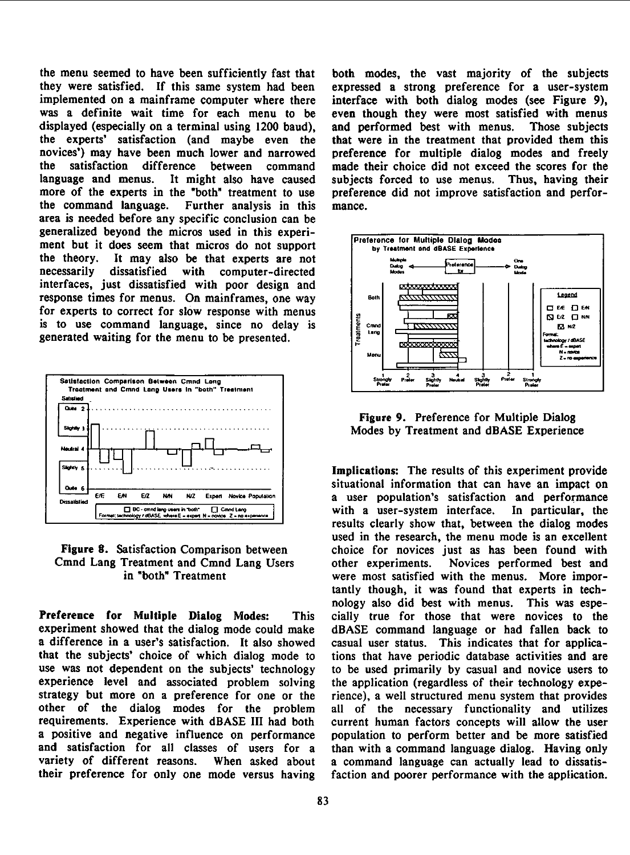the menu seemed to have been sufficiently fast that both modes, the vast majority of the subjects they were satisfied. If this same system had been expressed <sup>a</sup> strong preference for <sup>a</sup> user-system implemented on a mainframe computer where there interface with both dialog modes (see Figure 9), displayed (especially on a terminal using 1200 baud). the experts' satisfaction (and maybe even the that were in the treatment that provided them this novices') may have been much lower and narrowed preference for multiple dialog modes and freely<br>the satisfaction difference between command made their choice did not exceed the scores for the the satisfaction difference between command made their choice did not exceed the scores for the language and menus. It might also have caused subjects forced to use menus. Thus, having their more of the experts in the "both" treatment to use the command language. Further analysis in this Further analysis in this mance. area is needed before any specific conclusion can be generalized beyond the micros used in this experi-Preference for Multiple Dialog Modes ment but it does seem that micros do not support the theory. It may also be that experts are not the theory. It may also be that experts are not W\* necessarily dissatisfied with computer-directed interfaces, just dissatisfied with poor design and response times for menus. On mainframes, one way  $\left|\begin{array}{c|c}\n\text{soth} & \text{Matrix} \\
\hline\n\end{array}\right|$ <sup>1</sup> <sup>0</sup> Et <sup>0</sup> E,N for experts to correct for slow response with menus <sup>B</sup> <sup>i</sup> <sup>i</sup> m- <sup>V</sup> EZ <sup>O</sup> NE is to use command language, since no delay is  $\left|\frac{5}{4}$  cand  $\frac{1}{2}$  Transmitted  $\left|\frac{1}{2}$   $\right|$   $\left|\frac{1}{2}$  is  $n^2$ 



Preference for Multiple Dialog Modes: This cially true for those that were novices to the experiment showed that the dialog mode could make dBASE command language or had fallen back to a difference in a user's satisfaction. It also showed casual user status. This indicates that for applicaa difference in a user's satisfaction. It also showed casual user status. This indicates that for application-<br>that the subjects' choice of which dialog mode to tions that have periodic database activities and are use was not dependent on the subjects' technology to be used primarily by casual and novice users to experience level and associated problem solving the application (regardless of their technology expestrategy but more on <sup>a</sup> preference for one or the rience), <sup>a</sup> well structured menu system that provides other of the dialog modes for the problem all of the necessary functionality and utilizes requirements. Experience with dBASE III had both current human factors concepts will allow the user a positive and negative influence on performance population to perform better and be more satisfied<br>and satisfaction for all classes of users for a than with a command language dialog. Having only and satisfaction for all classes of users for a than with a command language dialog. Having only variety of different reasons. When asked about a command language can actually lead to dissatis-

even though they were most satisfied with menus<br>and performed best with menus. Those subjects subjects forced to use menus. Thus, having their<br>preference did not improve satisfaction and perfor-



Figure 9. Preference for Multiple Dialog

Implications: The results of this experiment provide  $E = E_1 + E_2 + N_1 + N_2$   $E_2$  and Neve Population  $\epsilon$  situational information that can have an impact on **E/2** N/N N/2 Expert Novice Population<br>  $\frac{1}{\sqrt{100} \cdot \text{cm} \cdot \text{cm} \cdot \text{cm} \cdot \text{cm} \cdot \text{cm} \cdot \text{cm} \cdot \text{cm}}$  a user population's satisfaction and performance<br>  $\frac{1}{\sqrt{100} \cdot \text{cm} \cdot \text{cm} \cdot \text{cm} \cdot \text{cm} \cdot \text{cm} \cdot \text{cm} \cdot \text{cm} \cdot \text{$ results clearly show that, between the dialog modes used in the research, the menu mode is an excellent Figure 8. Satisfaction Comparison between choice for novices just as has been found with Cmnd Lang Treatment and Cmnd Lang Users other experiments. Novices performed best and<br>in "both" Treatment were most satisfied with the menus. More imporwere most satisfied with the menus. More importantly though, it was found that experts in technology also did best with menus. This was espetions that have periodic database activities and are When asked about a command language can actually lead to dissatistheir preference for only one mode versus having faction and poorer performance with the application.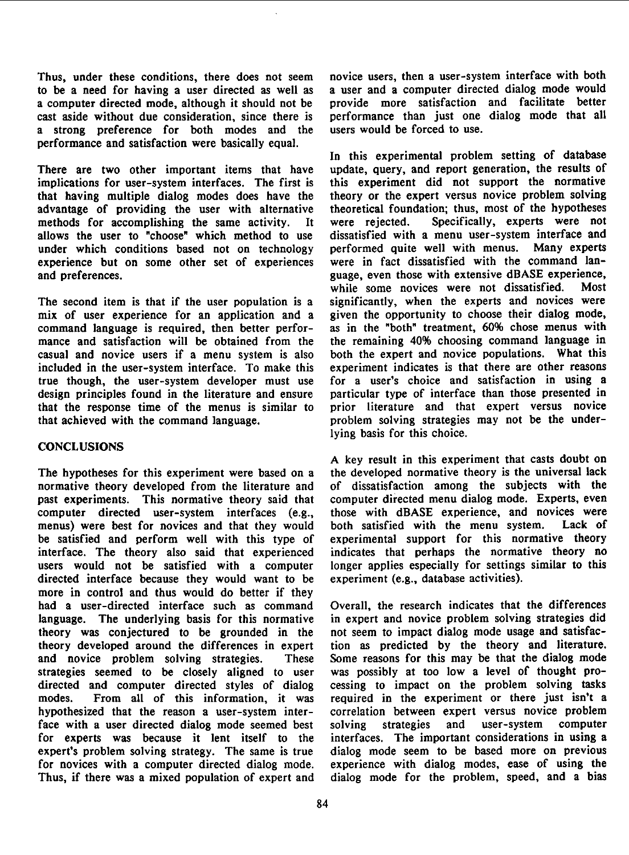to be <sup>a</sup> need for having a user directed as well as <sup>a</sup> user and <sup>a</sup> computer directed dialog mode would a computer directed mode, although it should not be cast aside without due consideration, since there is a strong preference for both modes and the performance and satisfaction were basically equal.

There are two other important items that have update, query, and report generation, the results of implications for user-system interfaces. The first is this experiment did not support the normative implications for user-system interfaces. The first is this experiment did not support the normative that having multiple dialog modes does have the theory or the expert versus novice problem solving that having multiple dialog modes does have the advantage of providing the user with alternative theoretical foundation; thus, most of the hypotheses methods for accomplishing the same activity. It were rejected. Specifically, experts were not methods for accomplishing the same activity. It were rejected. Specifically, experts were not allows the user to "choose" which method to use dissatisfied with a menu user-system interface and allows the user to "choose" which method to use under which conditions based not on technology performed quite well with menus. Many experts experts<br>experience but on some other set of experiences were in fact dissatisfied with the command lanexperience but on some other set of experiences

mix of user experience for an application and a command language is required, then better perfor- as in the "both" treatment, 60% chose menus with mance and satisfaction will be obtained from the the remaining 40% choosing command language in casual and novice users if a menu system is also both the expert and novice populations. What this included in the user-system interface. To make this experiment indicates is that there are other reasons included in the user-system interface. To make this true though, the user-system developer must use for a user's choice and satisfaction in using a design principles found in the literature and ensure particular type of interface than those presented in design principles found in the literature and ensure that the response time of the menus is similar to prior literature and that expert versus novice that achieved with the command language. problem solving strategies may not be the under-

### **CONCLUSIONS**

The hypotheses for this experiment were based on a normative theory developed from the literature and of dissatisfaction among the subjects with the past experiments. This normative theory said that computer directed menu dialog mode. Experts, even<br>computer directed user-system interfaces (e.g., those with dBASE experience, and novices were computer directed user-system interfaces (e.g., menus) were best for novices and that they would both satisfied with the menu system. Lack of be satisfied and perform well with this type of experimental support for this normative theory interface. The theory also said that experienced indicates that perhaps the normative theory no<br>users would not be satisfied with a computer longer applies especially for settings similar to this users would not be satisfied with a computer longer applies especially for settings directed interface because they would want to be experiment (e.g., database activities). directed interface because they would want to be more in control and thus would do better if they had a user-directed interface such as command Overall, the research indicates that the differences language. The underlying basis for this normative in expert and novice problem solving strategies did theory was conjectured to be grounded in the not seem to impact dialog mode usage and satisfaction theory developed around the differences in expert tion as predicted by the theory and literature. theory developed around the differences in expert and novice problem solving strategies. These Some reasons for this may be that the dialog mode<br>strategies seemed to be closely aligned to user was possibly at too low a level of thought prostrategies seemed to be closely aligned to user directed and computer directed styles of dialog cessing to impact on the problem solving tasks modes. From all of this information, it was required in the experiment or there just isn't a modes. From all of this information, it was required in the experiment or there just isn't <sup>a</sup> hypothesized that the reason <sup>a</sup> user-system inter- correlation between expert versus novice problem face with a user directed dialog mode seemed best solving strategies and user-system computer for experts was because it lent itself to the interfaces. The important considerations in using <sup>a</sup> expert's problem solving strategy. The same is true dialog mode seem to be based more on previous for novices with a computer directed dialog mode. experience with dialog modes, ease of using the for novices with a computer directed dialog mode.<br>Thus, if there was a mixed population of expert and

Thus, under these conditions, there does not seem novice users, then a user-system interface with both to be a need for having a user directed as well as a user and a computer directed dialog mode would performance than just one dialog mode that all users would be forced to use.

In this experimental problem setting of database update, query, and report generation, the results of and preferences.<br>guage, even those with extensive dBASE experience,<br>while some novices were not dissatisfied. Most while some novices were not dissatisfied. The second item is that if the user population is a significantly, when the experts and novices were mix of user experience for an application and a given the opportunity to choose their dialog mode, lying basis for this choice.

A key result in this experiment that casts doubt on the developed normative theory is the universal lack

dialog mode for the problem, speed, and a bias